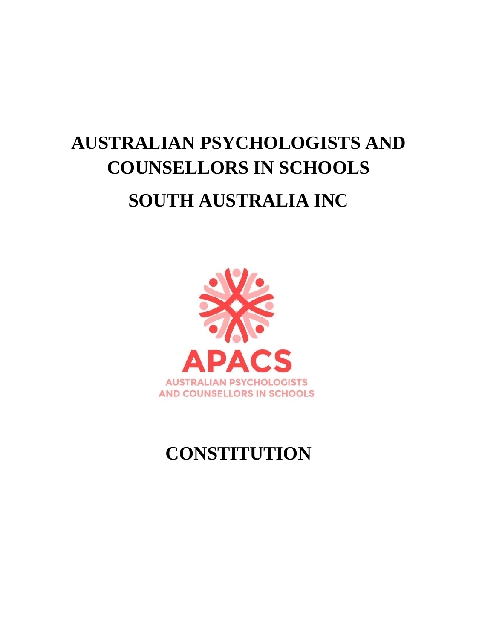# **AUSTRALIAN PSYCHOLOGISTS AND COUNSELLORS IN SCHOOLS SOUTH AUSTRALIA INC**



## **CONSTITUTION**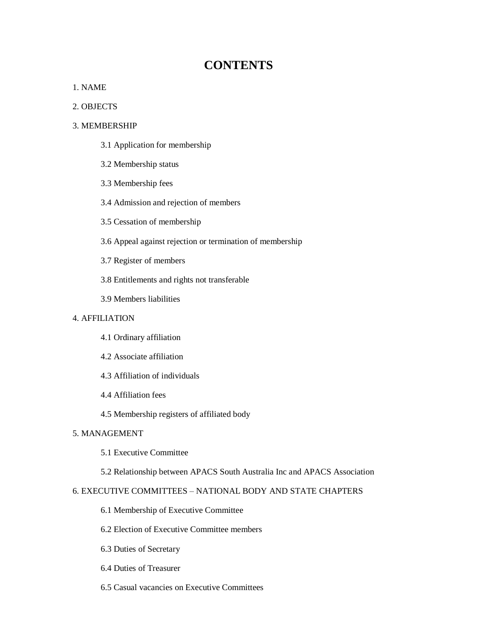### **CONTENTS**

#### 1. NAME

#### 2. OBJECTS

#### 3. MEMBERSHIP

- 3.1 Application for membership
- 3.2 Membership status
- 3.3 Membership fees
- 3.4 Admission and rejection of members
- 3.5 Cessation of membership
- 3.6 Appeal against rejection or termination of membership
- 3.7 Register of members
- 3.8 Entitlements and rights not transferable
- 3.9 Members liabilities

#### 4. AFFILIATION

- 4.1 Ordinary affiliation
- 4.2 Associate affiliation
- 4.3 Affiliation of individuals
- 4.4 Affiliation fees
- 4.5 Membership registers of affiliated body

#### 5. MANAGEMENT

5.1 Executive Committee

#### 5.2 Relationship between APACS South Australia Inc and APACS Association

#### 6. EXECUTIVE COMMITTEES – NATIONAL BODY AND STATE CHAPTERS

- 6.1 Membership of Executive Committee
- 6.2 Election of Executive Committee members
- 6.3 Duties of Secretary
- 6.4 Duties of Treasurer
- 6.5 Casual vacancies on Executive Committees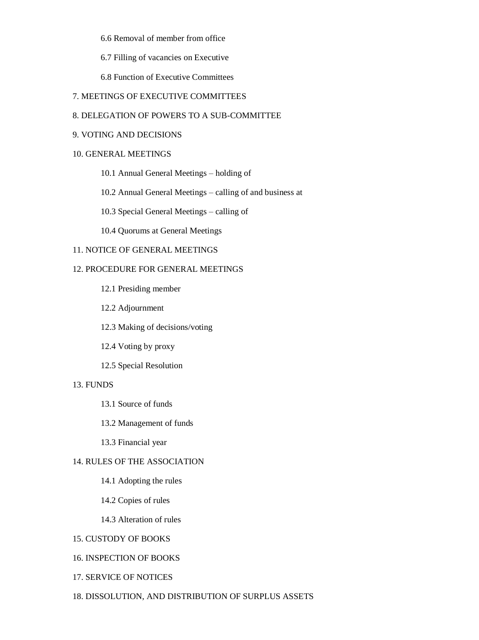6.6 Removal of member from office

6.7 Filling of vacancies on Executive

6.8 Function of Executive Committees

#### 7. MEETINGS OF EXECUTIVE COMMITTEES

#### 8. DELEGATION OF POWERS TO A SUB-COMMITTEE

#### 9. VOTING AND DECISIONS

#### 10. GENERAL MEETINGS

10.1 Annual General Meetings – holding of

10.2 Annual General Meetings – calling of and business at

10.3 Special General Meetings – calling of

10.4 Quorums at General Meetings

#### 11. NOTICE OF GENERAL MEETINGS

#### 12. PROCEDURE FOR GENERAL MEETINGS

- 12.1 Presiding member
- 12.2 Adjournment
- 12.3 Making of decisions/voting
- 12.4 Voting by proxy
- 12.5 Special Resolution

#### 13. FUNDS

#### 13.1 Source of funds

13.2 Management of funds

13.3 Financial year

#### 14. RULES OF THE ASSOCIATION

#### 14.1 Adopting the rules

- 14.2 Copies of rules
- 14.3 Alteration of rules

#### 15. CUSTODY OF BOOKS

#### 16. INSPECTION OF BOOKS

- 17. SERVICE OF NOTICES
- 18. DISSOLUTION, AND DISTRIBUTION OF SURPLUS ASSETS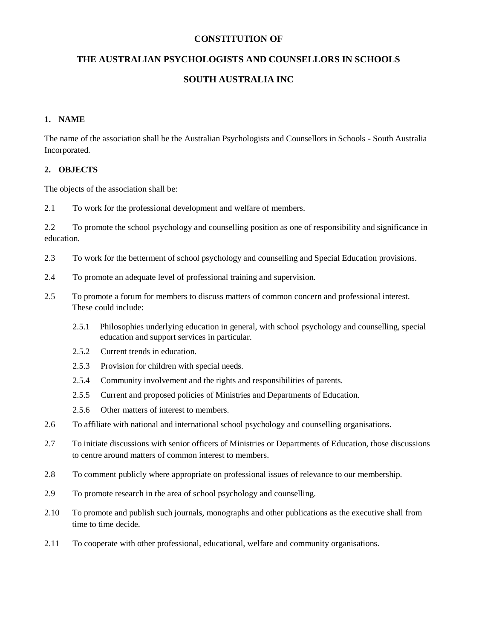#### **CONSTITUTION OF**

#### **THE AUSTRALIAN PSYCHOLOGISTS AND COUNSELLORS IN SCHOOLS**

#### **SOUTH AUSTRALIA INC**

#### **1. NAME**

The name of the association shall be the Australian Psychologists and Counsellors in Schools - South Australia Incorporated.

#### **2. OBJECTS**

The objects of the association shall be:

2.1 To work for the professional development and welfare of members.

2.2 To promote the school psychology and counselling position as one of responsibility and significance in education.

- 2.3 To work for the betterment of school psychology and counselling and Special Education provisions.
- 2.4 To promote an adequate level of professional training and supervision.
- 2.5 To promote a forum for members to discuss matters of common concern and professional interest. These could include:
	- 2.5.1 Philosophies underlying education in general, with school psychology and counselling, special education and support services in particular.
	- 2.5.2 Current trends in education.
	- 2.5.3 Provision for children with special needs.
	- 2.5.4 Community involvement and the rights and responsibilities of parents.
	- 2.5.5 Current and proposed policies of Ministries and Departments of Education.
	- 2.5.6 Other matters of interest to members.
- 2.6 To affiliate with national and international school psychology and counselling organisations.
- 2.7 To initiate discussions with senior officers of Ministries or Departments of Education, those discussions to centre around matters of common interest to members.
- 2.8 To comment publicly where appropriate on professional issues of relevance to our membership.
- 2.9 To promote research in the area of school psychology and counselling.
- 2.10 To promote and publish such journals, monographs and other publications as the executive shall from time to time decide.
- 2.11 To cooperate with other professional, educational, welfare and community organisations.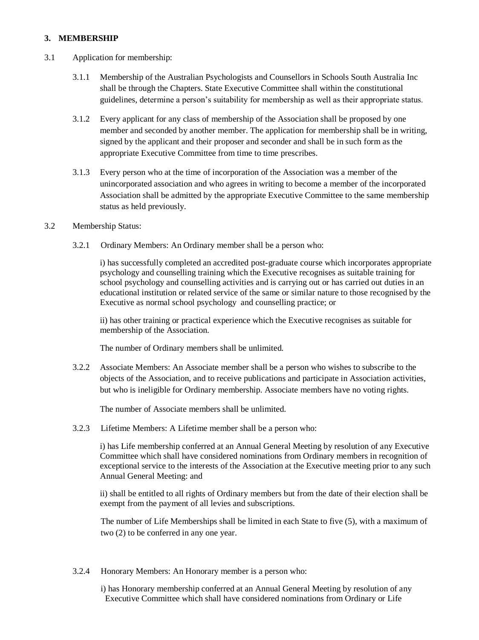#### **3. MEMBERSHIP**

- 3.1 Application for membership:
	- 3.1.1 Membership of the Australian Psychologists and Counsellors in Schools South Australia Inc shall be through the Chapters. State Executive Committee shall within the constitutional guidelines, determine a person's suitability for membership as well as their appropriate status.
	- 3.1.2 Every applicant for any class of membership of the Association shall be proposed by one member and seconded by another member. The application for membership shall be in writing, signed by the applicant and their proposer and seconder and shall be in such form as the appropriate Executive Committee from time to time prescribes.
	- 3.1.3 Every person who at the time of incorporation of the Association was a member of the unincorporated association and who agrees in writing to become a member of the incorporated Association shall be admitted by the appropriate Executive Committee to the same membership status as held previously.

#### 3.2 Membership Status:

3.2.1 Ordinary Members: An Ordinary member shall be a person who:

i) has successfully completed an accredited post-graduate course which incorporates appropriate psychology and counselling training which the Executive recognises as suitable training for school psychology and counselling activities and is carrying out or has carried out duties in an educational institution or related service of the same or similar nature to those recognised by the Executive as normal school psychology and counselling practice; or

ii) has other training or practical experience which the Executive recognises as suitable for membership of the Association.

The number of Ordinary members shall be unlimited.

3.2.2 Associate Members: An Associate member shall be a person who wishes to subscribe to the objects of the Association, and to receive publications and participate in Association activities, but who is ineligible for Ordinary membership. Associate members have no voting rights.

The number of Associate members shall be unlimited.

3.2.3 Lifetime Members: A Lifetime member shall be a person who:

i) has Life membership conferred at an Annual General Meeting by resolution of any Executive Committee which shall have considered nominations from Ordinary members in recognition of exceptional service to the interests of the Association at the Executive meeting prior to any such Annual General Meeting: and

ii) shall be entitled to all rights of Ordinary members but from the date of their election shall be exempt from the payment of all levies and subscriptions.

The number of Life Memberships shall be limited in each State to five (5), with a maximum of two (2) to be conferred in any one year.

- 3.2.4 Honorary Members: An Honorary member is a person who:
	- i) has Honorary membership conferred at an Annual General Meeting by resolution of any Executive Committee which shall have considered nominations from Ordinary or Life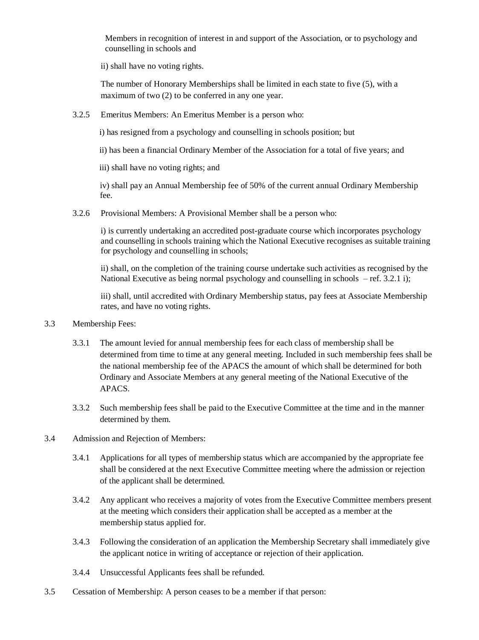Members in recognition of interest in and support of the Association, or to psychology and counselling in schools and

ii) shall have no voting rights.

The number of Honorary Memberships shall be limited in each state to five (5), with a maximum of two (2) to be conferred in any one year.

3.2.5 Emeritus Members: An Emeritus Member is a person who:

i) has resigned from a psychology and counselling in schools position; but

ii) has been a financial Ordinary Member of the Association for a total of five years; and

iii) shall have no voting rights; and

iv) shall pay an Annual Membership fee of 50% of the current annual Ordinary Membership fee.

3.2.6 Provisional Members: A Provisional Member shall be a person who:

i) is currently undertaking an accredited post-graduate course which incorporates psychology and counselling in schools training which the National Executive recognises as suitable training for psychology and counselling in schools;

ii) shall, on the completion of the training course undertake such activities as recognised by the National Executive as being normal psychology and counselling in schools – ref. 3.2.1 i);

iii) shall, until accredited with Ordinary Membership status, pay fees at Associate Membership rates, and have no voting rights.

#### 3.3 Membership Fees:

- 3.3.1 The amount levied for annual membership fees for each class of membership shall be determined from time to time at any general meeting. Included in such membership fees shall be the national membership fee of the APACS the amount of which shall be determined for both Ordinary and Associate Members at any general meeting of the National Executive of the APACS.
- 3.3.2 Such membership fees shall be paid to the Executive Committee at the time and in the manner determined by them.

#### 3.4 Admission and Rejection of Members:

- 3.4.1 Applications for all types of membership status which are accompanied by the appropriate fee shall be considered at the next Executive Committee meeting where the admission or rejection of the applicant shall be determined.
- 3.4.2 Any applicant who receives a majority of votes from the Executive Committee members present at the meeting which considers their application shall be accepted as a member at the membership status applied for.
- 3.4.3 Following the consideration of an application the Membership Secretary shall immediately give the applicant notice in writing of acceptance or rejection of their application.
- 3.4.4 Unsuccessful Applicants fees shall be refunded.
- 3.5 Cessation of Membership: A person ceases to be a member if that person: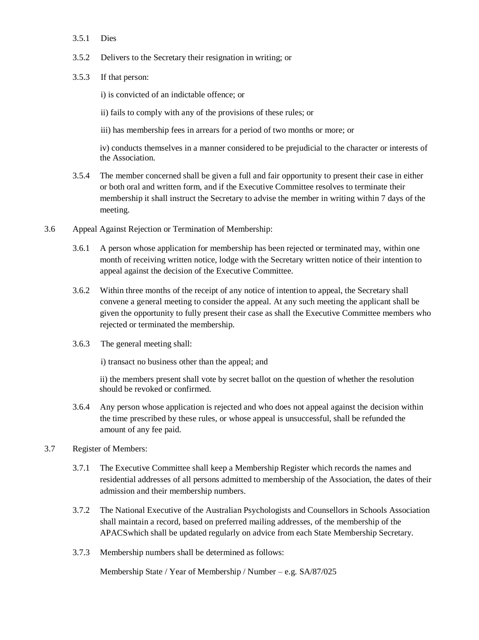- 3.5.1 Dies
- 3.5.2 Delivers to the Secretary their resignation in writing; or
- 3.5.3 If that person:

i) is convicted of an indictable offence; or

ii) fails to comply with any of the provisions of these rules; or

iii) has membership fees in arrears for a period of two months or more; or

iv) conducts themselves in a manner considered to be prejudicial to the character or interests of the Association.

- 3.5.4 The member concerned shall be given a full and fair opportunity to present their case in either or both oral and written form, and if the Executive Committee resolves to terminate their membership it shall instruct the Secretary to advise the member in writing within 7 days of the meeting.
- 3.6 Appeal Against Rejection or Termination of Membership:
	- 3.6.1 A person whose application for membership has been rejected or terminated may, within one month of receiving written notice, lodge with the Secretary written notice of their intention to appeal against the decision of the Executive Committee.
	- 3.6.2 Within three months of the receipt of any notice of intention to appeal, the Secretary shall convene a general meeting to consider the appeal. At any such meeting the applicant shall be given the opportunity to fully present their case as shall the Executive Committee members who rejected or terminated the membership.
	- 3.6.3 The general meeting shall:

i) transact no business other than the appeal; and

ii) the members present shall vote by secret ballot on the question of whether the resolution should be revoked or confirmed.

- 3.6.4 Any person whose application is rejected and who does not appeal against the decision within the time prescribed by these rules, or whose appeal is unsuccessful, shall be refunded the amount of any fee paid.
- 3.7 Register of Members:
	- 3.7.1 The Executive Committee shall keep a Membership Register which records the names and residential addresses of all persons admitted to membership of the Association, the dates of their admission and their membership numbers.
	- 3.7.2 The National Executive of the Australian Psychologists and Counsellors in Schools Association shall maintain a record, based on preferred mailing addresses, of the membership of the APACSwhich shall be updated regularly on advice from each State Membership Secretary.
	- 3.7.3 Membership numbers shall be determined as follows:

Membership State / Year of Membership / Number – e.g. SA/87/025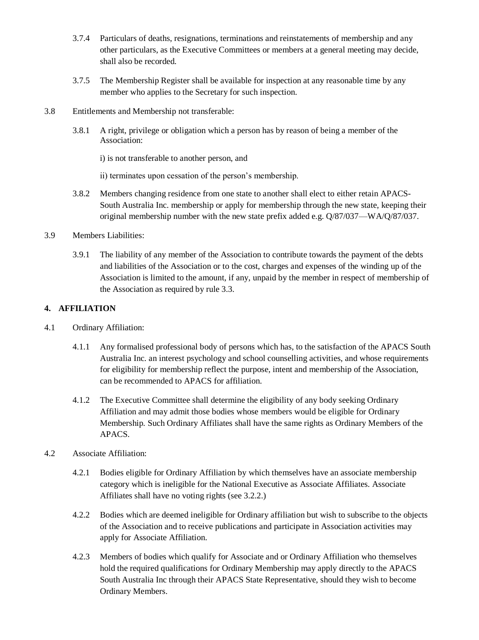- 3.7.4 Particulars of deaths, resignations, terminations and reinstatements of membership and any other particulars, as the Executive Committees or members at a general meeting may decide, shall also be recorded.
- 3.7.5 The Membership Register shall be available for inspection at any reasonable time by any member who applies to the Secretary for such inspection.

#### 3.8 Entitlements and Membership not transferable:

3.8.1 A right, privilege or obligation which a person has by reason of being a member of the Association:

i) is not transferable to another person, and

ii) terminates upon cessation of the person's membership.

3.8.2 Members changing residence from one state to another shall elect to either retain APACS-South Australia Inc. membership or apply for membership through the new state, keeping their original membership number with the new state prefix added e.g. Q/87/037—WA/Q/87/037.

#### 3.9 Members Liabilities:

3.9.1 The liability of any member of the Association to contribute towards the payment of the debts and liabilities of the Association or to the cost, charges and expenses of the winding up of the Association is limited to the amount, if any, unpaid by the member in respect of membership of the Association as required by rule 3.3.

#### **4. AFFILIATION**

- 4.1 Ordinary Affiliation:
	- 4.1.1 Any formalised professional body of persons which has, to the satisfaction of the APACS South Australia Inc. an interest psychology and school counselling activities, and whose requirements for eligibility for membership reflect the purpose, intent and membership of the Association, can be recommended to APACS for affiliation.
	- 4.1.2 The Executive Committee shall determine the eligibility of any body seeking Ordinary Affiliation and may admit those bodies whose members would be eligible for Ordinary Membership. Such Ordinary Affiliates shall have the same rights as Ordinary Members of the APACS.
- 4.2 Associate Affiliation:
	- 4.2.1 Bodies eligible for Ordinary Affiliation by which themselves have an associate membership category which is ineligible for the National Executive as Associate Affiliates. Associate Affiliates shall have no voting rights (see 3.2.2.)
	- 4.2.2 Bodies which are deemed ineligible for Ordinary affiliation but wish to subscribe to the objects of the Association and to receive publications and participate in Association activities may apply for Associate Affiliation.
	- 4.2.3 Members of bodies which qualify for Associate and or Ordinary Affiliation who themselves hold the required qualifications for Ordinary Membership may apply directly to the APACS South Australia Inc through their APACS State Representative, should they wish to become Ordinary Members.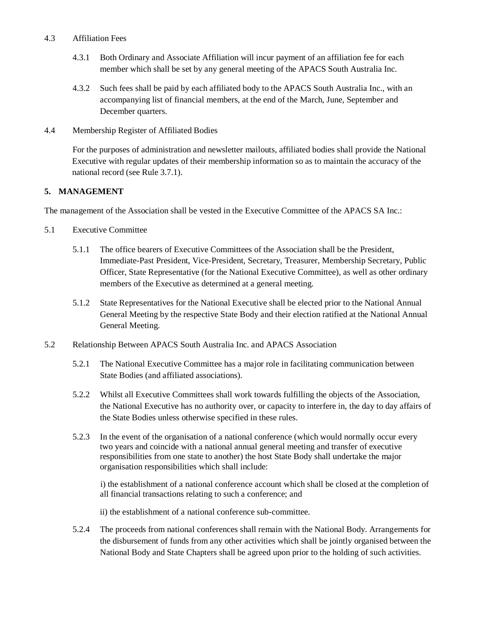#### 4.3 Affiliation Fees

- 4.3.1 Both Ordinary and Associate Affiliation will incur payment of an affiliation fee for each member which shall be set by any general meeting of the APACS South Australia Inc.
- 4.3.2 Such fees shall be paid by each affiliated body to the APACS South Australia Inc., with an accompanying list of financial members, at the end of the March, June, September and December quarters.

#### 4.4 Membership Register of Affiliated Bodies

For the purposes of administration and newsletter mailouts, affiliated bodies shall provide the National Executive with regular updates of their membership information so as to maintain the accuracy of the national record (see Rule 3.7.1).

#### **5. MANAGEMENT**

The management of the Association shall be vested in the Executive Committee of the APACS SA Inc.:

- 5.1 Executive Committee
	- 5.1.1 The office bearers of Executive Committees of the Association shall be the President, Immediate-Past President, Vice-President, Secretary, Treasurer, Membership Secretary, Public Officer, State Representative (for the National Executive Committee), as well as other ordinary members of the Executive as determined at a general meeting.
	- 5.1.2 State Representatives for the National Executive shall be elected prior to the National Annual General Meeting by the respective State Body and their election ratified at the National Annual General Meeting.
- 5.2 Relationship Between APACS South Australia Inc. and APACS Association
	- 5.2.1 The National Executive Committee has a major role in facilitating communication between State Bodies (and affiliated associations).
	- 5.2.2 Whilst all Executive Committees shall work towards fulfilling the objects of the Association, the National Executive has no authority over, or capacity to interfere in, the day to day affairs of the State Bodies unless otherwise specified in these rules.
	- 5.2.3 In the event of the organisation of a national conference (which would normally occur every two years and coincide with a national annual general meeting and transfer of executive responsibilities from one state to another) the host State Body shall undertake the major organisation responsibilities which shall include:

i) the establishment of a national conference account which shall be closed at the completion of all financial transactions relating to such a conference; and

ii) the establishment of a national conference sub-committee.

5.2.4 The proceeds from national conferences shall remain with the National Body. Arrangements for the disbursement of funds from any other activities which shall be jointly organised between the National Body and State Chapters shall be agreed upon prior to the holding of such activities.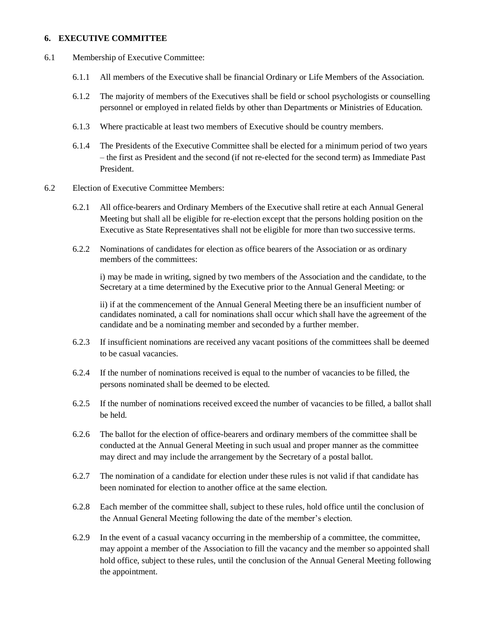#### **6. EXECUTIVE COMMITTEE**

- 6.1 Membership of Executive Committee:
	- 6.1.1 All members of the Executive shall be financial Ordinary or Life Members of the Association.
	- 6.1.2 The majority of members of the Executives shall be field or school psychologists or counselling personnel or employed in related fields by other than Departments or Ministries of Education.
	- 6.1.3 Where practicable at least two members of Executive should be country members.
	- 6.1.4 The Presidents of the Executive Committee shall be elected for a minimum period of two years – the first as President and the second (if not re-elected for the second term) as Immediate Past President.
- 6.2 Election of Executive Committee Members:
	- 6.2.1 All office-bearers and Ordinary Members of the Executive shall retire at each Annual General Meeting but shall all be eligible for re-election except that the persons holding position on the Executive as State Representatives shall not be eligible for more than two successive terms.
	- 6.2.2 Nominations of candidates for election as office bearers of the Association or as ordinary members of the committees:

i) may be made in writing, signed by two members of the Association and the candidate, to the Secretary at a time determined by the Executive prior to the Annual General Meeting: or

ii) if at the commencement of the Annual General Meeting there be an insufficient number of candidates nominated, a call for nominations shall occur which shall have the agreement of the candidate and be a nominating member and seconded by a further member.

- 6.2.3 If insufficient nominations are received any vacant positions of the committees shall be deemed to be casual vacancies.
- 6.2.4 If the number of nominations received is equal to the number of vacancies to be filled, the persons nominated shall be deemed to be elected.
- 6.2.5 If the number of nominations received exceed the number of vacancies to be filled, a ballot shall be held.
- 6.2.6 The ballot for the election of office-bearers and ordinary members of the committee shall be conducted at the Annual General Meeting in such usual and proper manner as the committee may direct and may include the arrangement by the Secretary of a postal ballot.
- 6.2.7 The nomination of a candidate for election under these rules is not valid if that candidate has been nominated for election to another office at the same election.
- 6.2.8 Each member of the committee shall, subject to these rules, hold office until the conclusion of the Annual General Meeting following the date of the member's election.
- 6.2.9 In the event of a casual vacancy occurring in the membership of a committee, the committee, may appoint a member of the Association to fill the vacancy and the member so appointed shall hold office, subject to these rules, until the conclusion of the Annual General Meeting following the appointment.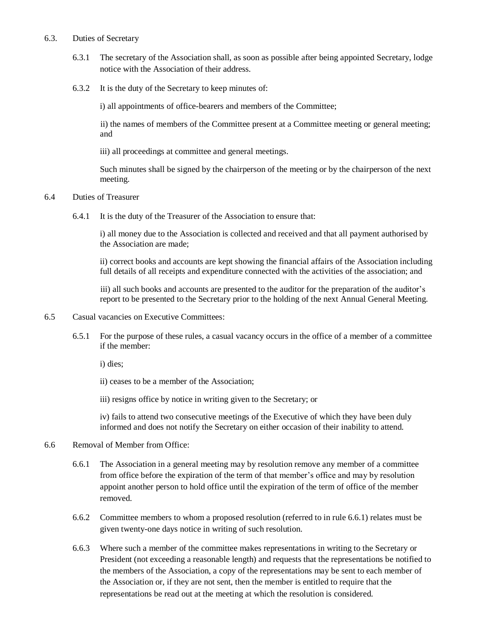#### 6.3. Duties of Secretary

- 6.3.1 The secretary of the Association shall, as soon as possible after being appointed Secretary, lodge notice with the Association of their address.
- 6.3.2 It is the duty of the Secretary to keep minutes of:

i) all appointments of office-bearers and members of the Committee;

ii) the names of members of the Committee present at a Committee meeting or general meeting; and

iii) all proceedings at committee and general meetings.

Such minutes shall be signed by the chairperson of the meeting or by the chairperson of the next meeting.

#### 6.4 Duties of Treasurer

6.4.1 It is the duty of the Treasurer of the Association to ensure that:

i) all money due to the Association is collected and received and that all payment authorised by the Association are made;

ii) correct books and accounts are kept showing the financial affairs of the Association including full details of all receipts and expenditure connected with the activities of the association; and

iii) all such books and accounts are presented to the auditor for the preparation of the auditor's report to be presented to the Secretary prior to the holding of the next Annual General Meeting.

#### 6.5 Casual vacancies on Executive Committees:

6.5.1 For the purpose of these rules, a casual vacancy occurs in the office of a member of a committee if the member:

i) dies;

- ii) ceases to be a member of the Association;
- iii) resigns office by notice in writing given to the Secretary; or

iv) fails to attend two consecutive meetings of the Executive of which they have been duly informed and does not notify the Secretary on either occasion of their inability to attend.

#### 6.6 Removal of Member from Office:

- 6.6.1 The Association in a general meeting may by resolution remove any member of a committee from office before the expiration of the term of that member's office and may by resolution appoint another person to hold office until the expiration of the term of office of the member removed.
- 6.6.2 Committee members to whom a proposed resolution (referred to in rule 6.6.1) relates must be given twenty-one days notice in writing of such resolution.
- 6.6.3 Where such a member of the committee makes representations in writing to the Secretary or President (not exceeding a reasonable length) and requests that the representations be notified to the members of the Association, a copy of the representations may be sent to each member of the Association or, if they are not sent, then the member is entitled to require that the representations be read out at the meeting at which the resolution is considered.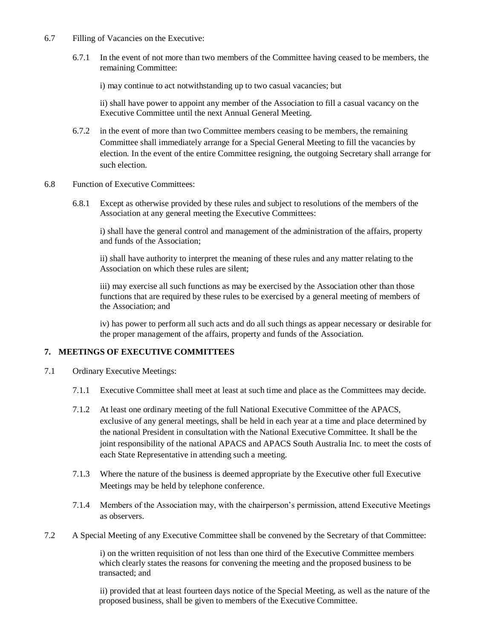- 6.7 Filling of Vacancies on the Executive:
	- 6.7.1 In the event of not more than two members of the Committee having ceased to be members, the remaining Committee:

i) may continue to act notwithstanding up to two casual vacancies; but

ii) shall have power to appoint any member of the Association to fill a casual vacancy on the Executive Committee until the next Annual General Meeting.

- 6.7.2 in the event of more than two Committee members ceasing to be members, the remaining Committee shall immediately arrange for a Special General Meeting to fill the vacancies by election. In the event of the entire Committee resigning, the outgoing Secretary shall arrange for such election.
- 6.8 Function of Executive Committees:
	- 6.8.1 Except as otherwise provided by these rules and subject to resolutions of the members of the Association at any general meeting the Executive Committees:

i) shall have the general control and management of the administration of the affairs, property and funds of the Association;

ii) shall have authority to interpret the meaning of these rules and any matter relating to the Association on which these rules are silent;

iii) may exercise all such functions as may be exercised by the Association other than those functions that are required by these rules to be exercised by a general meeting of members of the Association; and

iv) has power to perform all such acts and do all such things as appear necessary or desirable for the proper management of the affairs, property and funds of the Association.

#### **7. MEETINGS OF EXECUTIVE COMMITTEES**

- 7.1 Ordinary Executive Meetings:
	- 7.1.1 Executive Committee shall meet at least at such time and place as the Committees may decide.
	- 7.1.2 At least one ordinary meeting of the full National Executive Committee of the APACS, exclusive of any general meetings, shall be held in each year at a time and place determined by the national President in consultation with the National Executive Committee. It shall be the joint responsibility of the national APACS and APACS South Australia Inc. to meet the costs of each State Representative in attending such a meeting.
	- 7.1.3 Where the nature of the business is deemed appropriate by the Executive other full Executive Meetings may be held by telephone conference.
	- 7.1.4 Members of the Association may, with the chairperson's permission, attend Executive Meetings as observers.
- 7.2 A Special Meeting of any Executive Committee shall be convened by the Secretary of that Committee:

i) on the written requisition of not less than one third of the Executive Committee members which clearly states the reasons for convening the meeting and the proposed business to be transacted; and

ii) provided that at least fourteen days notice of the Special Meeting, as well as the nature of the proposed business, shall be given to members of the Executive Committee.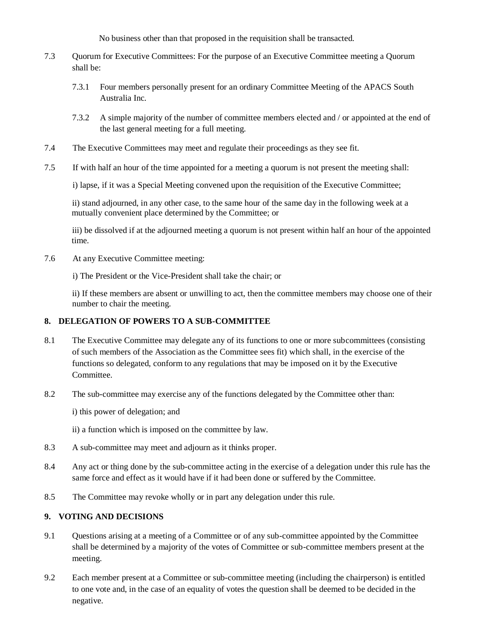No business other than that proposed in the requisition shall be transacted.

- 7.3 Quorum for Executive Committees: For the purpose of an Executive Committee meeting a Quorum shall be:
	- 7.3.1 Four members personally present for an ordinary Committee Meeting of the APACS South Australia Inc.
	- 7.3.2 A simple majority of the number of committee members elected and / or appointed at the end of the last general meeting for a full meeting.
- 7.4 The Executive Committees may meet and regulate their proceedings as they see fit.
- 7.5 If with half an hour of the time appointed for a meeting a quorum is not present the meeting shall:

i) lapse, if it was a Special Meeting convened upon the requisition of the Executive Committee;

ii) stand adjourned, in any other case, to the same hour of the same day in the following week at a mutually convenient place determined by the Committee; or

iii) be dissolved if at the adjourned meeting a quorum is not present within half an hour of the appointed time.

7.6 At any Executive Committee meeting:

i) The President or the Vice-President shall take the chair; or

ii) If these members are absent or unwilling to act, then the committee members may choose one of their number to chair the meeting.

#### **8. DELEGATION OF POWERS TO A SUB-COMMITTEE**

- 8.1 The Executive Committee may delegate any of its functions to one or more subcommittees (consisting of such members of the Association as the Committee sees fit) which shall, in the exercise of the functions so delegated, conform to any regulations that may be imposed on it by the Executive Committee.
- 8.2 The sub-committee may exercise any of the functions delegated by the Committee other than:
	- i) this power of delegation; and
	- ii) a function which is imposed on the committee by law.
- 8.3 A sub-committee may meet and adjourn as it thinks proper.
- 8.4 Any act or thing done by the sub-committee acting in the exercise of a delegation under this rule has the same force and effect as it would have if it had been done or suffered by the Committee.
- 8.5 The Committee may revoke wholly or in part any delegation under this rule.

#### **9. VOTING AND DECISIONS**

- 9.1 Questions arising at a meeting of a Committee or of any sub-committee appointed by the Committee shall be determined by a majority of the votes of Committee or sub-committee members present at the meeting.
- 9.2 Each member present at a Committee or sub-committee meeting (including the chairperson) is entitled to one vote and, in the case of an equality of votes the question shall be deemed to be decided in the negative.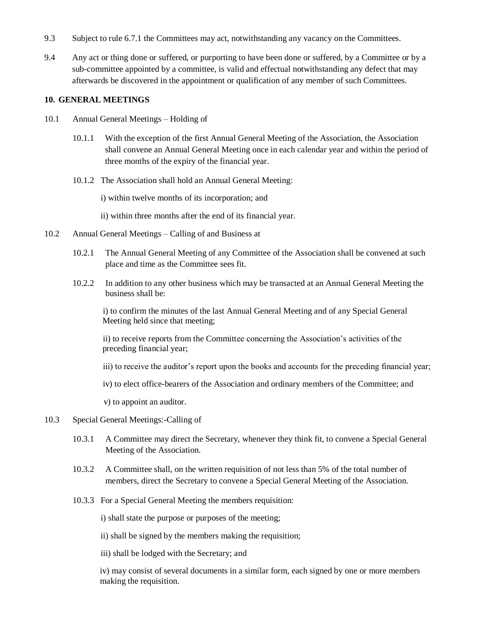- 9.3 Subject to rule 6.7.1 the Committees may act, notwithstanding any vacancy on the Committees.
- 9.4 Any act or thing done or suffered, or purporting to have been done or suffered, by a Committee or by a sub-committee appointed by a committee, is valid and effectual notwithstanding any defect that may afterwards be discovered in the appointment or qualification of any member of such Committees.

#### **10. GENERAL MEETINGS**

- 10.1 Annual General Meetings Holding of
	- 10.1.1 With the exception of the first Annual General Meeting of the Association, the Association shall convene an Annual General Meeting once in each calendar year and within the period of three months of the expiry of the financial year.
	- 10.1.2 The Association shall hold an Annual General Meeting:

i) within twelve months of its incorporation; and

ii) within three months after the end of its financial year.

- 10.2 Annual General Meetings Calling of and Business at
	- 10.2.1 The Annual General Meeting of any Committee of the Association shall be convened at such place and time as the Committee sees fit.
	- 10.2.2 In addition to any other business which may be transacted at an Annual General Meeting the business shall be:

i) to confirm the minutes of the last Annual General Meeting and of any Special General Meeting held since that meeting;

ii) to receive reports from the Committee concerning the Association's activities of the preceding financial year;

- iii) to receive the auditor's report upon the books and accounts for the preceding financial year;
- iv) to elect office-bearers of the Association and ordinary members of the Committee; and

v) to appoint an auditor.

- 10.3 Special General Meetings:-Calling of
	- 10.3.1 A Committee may direct the Secretary, whenever they think fit, to convene a Special General Meeting of the Association.
	- 10.3.2 A Committee shall, on the written requisition of not less than 5% of the total number of members, direct the Secretary to convene a Special General Meeting of the Association.
	- 10.3.3 For a Special General Meeting the members requisition:

i) shall state the purpose or purposes of the meeting;

ii) shall be signed by the members making the requisition;

iii) shall be lodged with the Secretary; and

iv) may consist of several documents in a similar form, each signed by one or more members making the requisition.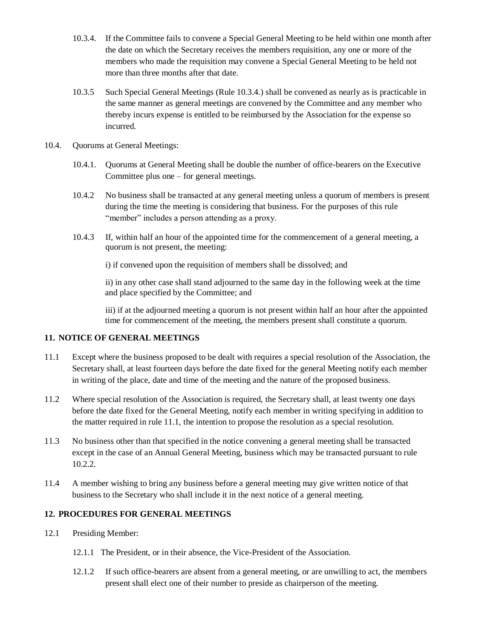- 10.3.4. If the Committee fails to convene a Special General Meeting to be held within one month after the date on which the Secretary receives the members requisition, any one or more of the members who made the requisition may convene a Special General Meeting to be held not more than three months after that date.
- 10.3.5 Such Special General Meetings (Rule 10.3.4.) shall be convened as nearly as is practicable in the same manner as general meetings are convened by the Committee and any member who thereby incurs expense is entitled to be reimbursed by the Association for the expense so incurred.
- 10.4. Quorums at General Meetings:
	- 10.4.1. Quorums at General Meeting shall be double the number of office-bearers on the Executive Committee plus one – for general meetings.
	- 10.4.2 No business shall be transacted at any general meeting unless a quorum of members is present during the time the meeting is considering that business. For the purposes of this rule "member" includes a person attending as a proxy.
	- 10.4.3 If, within half an hour of the appointed time for the commencement of a general meeting, a quorum is not present, the meeting:

i) if convened upon the requisition of members shall be dissolved; and

ii) in any other case shall stand adjourned to the same day in the following week at the time and place specified by the Committee; and

iii) if at the adjourned meeting a quorum is not present within half an hour after the appointed time for commencement of the meeting, the members present shall constitute a quorum.

#### **11. NOTICE OF GENERAL MEETINGS**

- 11.1 Except where the business proposed to be dealt with requires a special resolution of the Association, the Secretary shall, at least fourteen days before the date fixed for the general Meeting notify each member in writing of the place, date and time of the meeting and the nature of the proposed business.
- 11.2 Where special resolution of the Association is required, the Secretary shall, at least twenty one days before the date fixed for the General Meeting, notify each member in writing specifying in addition to the matter required in rule 11.1, the intention to propose the resolution as a special resolution.
- 11.3 No business other than that specified in the notice convening a general meeting shall be transacted except in the case of an Annual General Meeting, business which may be transacted pursuant to rule 10.2.2.
- 11.4 A member wishing to bring any business before a general meeting may give written notice of that business to the Secretary who shall include it in the next notice of a general meeting.

#### **12. PROCEDURES FOR GENERAL MEETINGS**

- 12.1 Presiding Member:
	- 12.1.1 The President, or in their absence, the Vice-President of the Association.
	- 12.1.2 If such office-bearers are absent from a general meeting, or are unwilling to act, the members present shall elect one of their number to preside as chairperson of the meeting.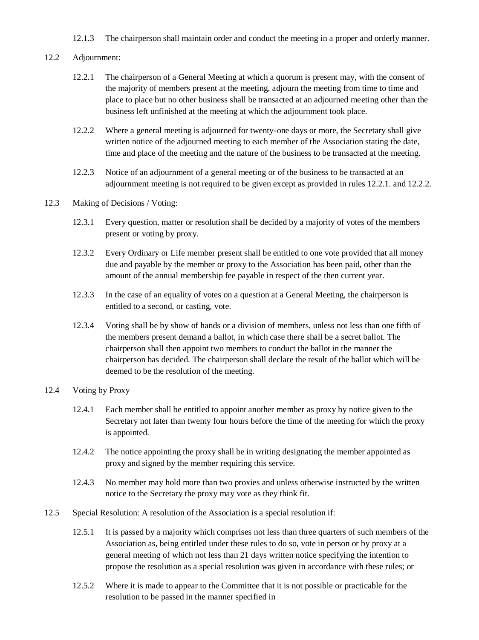- 12.1.3 The chairperson shall maintain order and conduct the meeting in a proper and orderly manner.
- 12.2 Adjournment:
	- 12.2.1 The chairperson of a General Meeting at which a quorum is present may, with the consent of the majority of members present at the meeting, adjourn the meeting from time to time and place to place but no other business shall be transacted at an adjourned meeting other than the business left unfinished at the meeting at which the adjournment took place.
	- 12.2.2 Where a general meeting is adjourned for twenty-one days or more, the Secretary shall give written notice of the adjourned meeting to each member of the Association stating the date, time and place of the meeting and the nature of the business to be transacted at the meeting.
	- 12.2.3 Notice of an adjournment of a general meeting or of the business to be transacted at an adjournment meeting is not required to be given except as provided in rules 12.2.1. and 12.2.2.
- 12.3 Making of Decisions / Voting:
	- 12.3.1 Every question, matter or resolution shall be decided by a majority of votes of the members present or voting by proxy.
	- 12.3.2 Every Ordinary or Life member present shall be entitled to one vote provided that all money due and payable by the member or proxy to the Association has been paid, other than the amount of the annual membership fee payable in respect of the then current year.
	- 12.3.3 In the case of an equality of votes on a question at a General Meeting, the chairperson is entitled to a second, or casting, vote.
	- 12.3.4 Voting shall be by show of hands or a division of members, unless not less than one fifth of the members present demand a ballot, in which case there shall be a secret ballot. The chairperson shall then appoint two members to conduct the ballot in the manner the chairperson has decided. The chairperson shall declare the result of the ballot which will be deemed to be the resolution of the meeting.
- 12.4 Voting by Proxy
	- 12.4.1 Each member shall be entitled to appoint another member as proxy by notice given to the Secretary not later than twenty four hours before the time of the meeting for which the proxy is appointed.
	- 12.4.2 The notice appointing the proxy shall be in writing designating the member appointed as proxy and signed by the member requiring this service.
	- 12.4.3 No member may hold more than two proxies and unless otherwise instructed by the written notice to the Secretary the proxy may vote as they think fit.
- 12.5 Special Resolution: A resolution of the Association is a special resolution if:
	- 12.5.1 It is passed by a majority which comprises not less than three quarters of such members of the Association as, being entitled under these rules to do so, vote in person or by proxy at a general meeting of which not less than 21 days written notice specifying the intention to propose the resolution as a special resolution was given in accordance with these rules; or
	- 12.5.2 Where it is made to appear to the Committee that it is not possible or practicable for the resolution to be passed in the manner specified in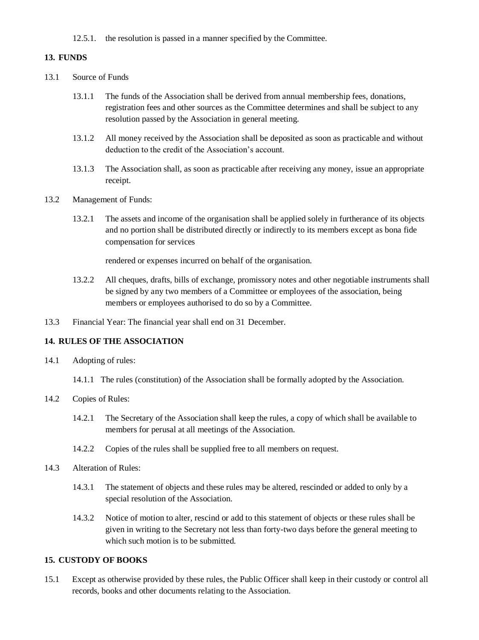12.5.1. the resolution is passed in a manner specified by the Committee.

#### **13. FUNDS**

- 13.1 Source of Funds
	- 13.1.1 The funds of the Association shall be derived from annual membership fees, donations, registration fees and other sources as the Committee determines and shall be subject to any resolution passed by the Association in general meeting.
	- 13.1.2 All money received by the Association shall be deposited as soon as practicable and without deduction to the credit of the Association's account.
	- 13.1.3 The Association shall, as soon as practicable after receiving any money, issue an appropriate receipt.
- 13.2 Management of Funds:
	- 13.2.1 The assets and income of the organisation shall be applied solely in furtherance of its objects and no portion shall be distributed directly or indirectly to its members except as bona fide compensation for services

rendered or expenses incurred on behalf of the organisation.

- 13.2.2 All cheques, drafts, bills of exchange, promissory notes and other negotiable instruments shall be signed by any two members of a Committee or employees of the association, being members or employees authorised to do so by a Committee.
- 13.3 Financial Year: The financial year shall end on 31 December.

#### **14. RULES OF THE ASSOCIATION**

- 14.1 Adopting of rules:
	- 14.1.1 The rules (constitution) of the Association shall be formally adopted by the Association.
- 14.2 Copies of Rules:
	- 14.2.1 The Secretary of the Association shall keep the rules, a copy of which shall be available to members for perusal at all meetings of the Association.
	- 14.2.2 Copies of the rules shall be supplied free to all members on request.
- 14.3 Alteration of Rules:
	- 14.3.1 The statement of objects and these rules may be altered, rescinded or added to only by a special resolution of the Association.
	- 14.3.2 Notice of motion to alter, rescind or add to this statement of objects or these rules shall be given in writing to the Secretary not less than forty-two days before the general meeting to which such motion is to be submitted.

#### **15. CUSTODY OF BOOKS**

15.1 Except as otherwise provided by these rules, the Public Officer shall keep in their custody or control all records, books and other documents relating to the Association.